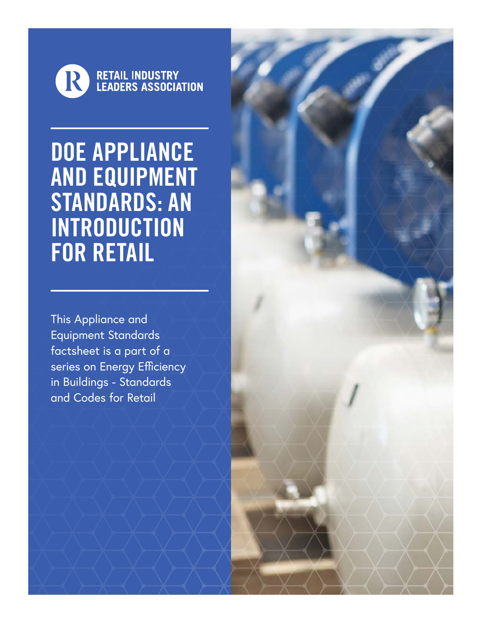

DOE APPLIANCE AND EQUIPMENT STANDARDS: AN INTRODUCTION FOR RETAIL

This Appliance and Equipment Standards factsheet is a part of a series on Energy Efficiency in Buildings - Standards and Codes for Retail

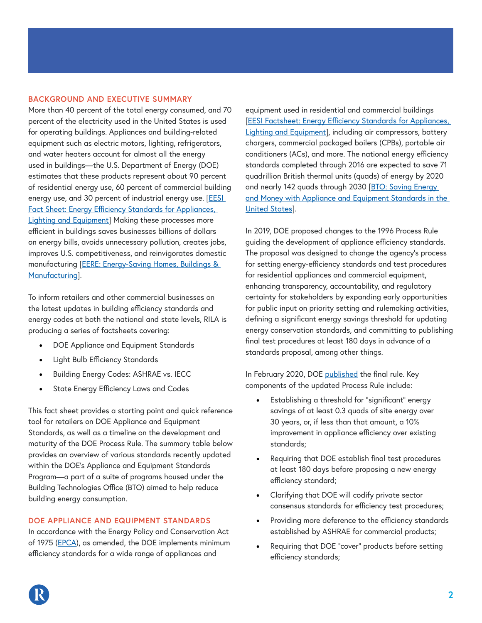# **BACKGROUND AND EXECUTIVE SUMMARY**

More than 40 percent of the total energy consumed, and 70 percent of the electricity used in the United States is used for operating buildings. Appliances and building-related equipment such as electric motors, lighting, refrigerators, and water heaters account for almost all the energy used in buildings—the U.S. Department of Energy (DOE) estimates that these products represent about 90 percent of residential energy use, 60 percent of commercial building energy use, and 30 percent of industrial energy use. [EESI [Fact Sheet: Energy Efficiency Standards for Appliances,](https://www.eesi.org/papers/view/fact-sheet-energy-efficiency-standards-for-appliances-lighting-and-equipmen)  [Lighting and Equipment](https://www.eesi.org/papers/view/fact-sheet-energy-efficiency-standards-for-appliances-lighting-and-equipmen)] Making these processes more efficient in buildings saves businesses billions of dollars on energy bills, avoids unnecessary pollution, creates jobs, improves U.S. competitiveness, and reinvigorates domestic manufacturing [\[EERE: Energy-Saving Homes, Buildings &](https://www.energy.gov/sites/prod/files/2013/11/f4/55297.pdf)  [Manufacturing\]](https://www.energy.gov/sites/prod/files/2013/11/f4/55297.pdf).

To inform retailers and other commercial businesses on the latest updates in building efficiency standards and energy codes at both the national and state levels, RILA is producing a series of factsheets covering:

- DOE Appliance and Equipment Standards
- Light Bulb Efficiency Standards
- Building Energy Codes: ASHRAE vs. IECC
- State Energy Efficiency Laws and Codes

This fact sheet provides a starting point and quick reference tool for retailers on DOE Appliance and Equipment Standards, as well as a timeline on the development and maturity of the DOE Process Rule. The summary table below provides an overview of various standards recently updated within the DOE's Appliance and Equipment Standards Program—a part of a suite of programs housed under the Building Technologies Office (BTO) aimed to help reduce building energy consumption.

## **DOE APPLIANCE AND EQUIPMENT STANDARDS**

In accordance with the Energy Policy and Conservation Act of 1975 [\(EPCA\)](https://www.govtrack.us/congress/bills/94/s622), as amended, the DOE implements minimum efficiency standards for a wide range of appliances and

equipment used in residential and commercial buildings [\[EESI Factsheet: Energy Efficiency Standards for Appliances,](https://www.eesi.org/papers/view/fact-sheet-energy-efficiency-standards-for-appliances-lighting-and-equipmen)  [Lighting and Equipment](https://www.eesi.org/papers/view/fact-sheet-energy-efficiency-standards-for-appliances-lighting-and-equipmen)], including air compressors, battery chargers, commercial packaged boilers (CPBs), portable air conditioners (ACs), and more. The national energy efficiency standards completed through 2016 are expected to save 71 quadrillion British thermal units (quads) of energy by 2020 and nearly 142 quads through 2030 [BTO: Saving Energy [and Money with Appliance and Equipment Standards in the](https://www.energy.gov/sites/prod/files/2013/11/f4/55297.pdf)  [United States](https://www.energy.gov/sites/prod/files/2013/11/f4/55297.pdf)].

In 2019, DOE proposed changes to the 1996 Process Rule guiding the development of appliance efficiency standards. The proposal was designed to change the agency's process for setting energy-efficiency standards and test procedures for residential appliances and commercial equipment, enhancing transparency, accountability, and regulatory certainty for stakeholders by expanding early opportunities for public input on priority setting and rulemaking activities, defining a significant energy savings threshold for updating energy conservation standards, and committing to publishing final test procedures at least 180 days in advance of a standards proposal, among other things.

In February 2020, DOE published the final rule. Key components of the updated Process Rule include:

- Establishing a threshold for "significant" energy savings of at least 0.3 quads of site energy over 30 years, or, if less than that amount, a 10% improvement in appliance efficiency over existing standards;
- Requiring that DOE establish final test procedures at least 180 days before proposing a new energy efficiency standard;
- Clarifying that DOE will codify private sector consensus standards for efficiency test procedures;
- Providing more deference to the efficiency standards established by ASHRAE for commercial products;
- Requiring that DOE "cover" products before setting efficiency standards;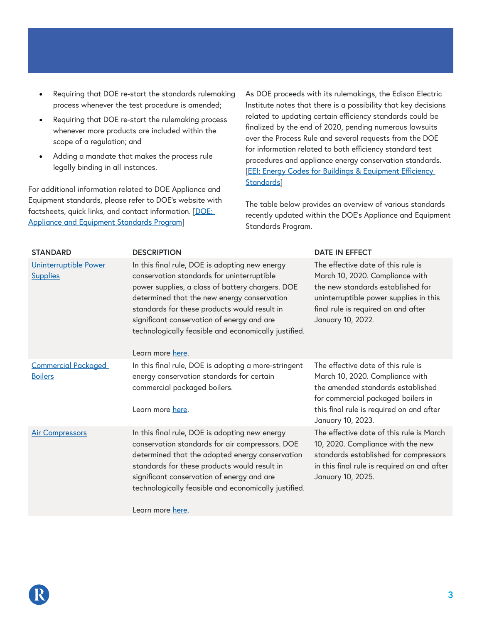- Requiring that DOE re-start the standards rulemaking process whenever the test procedure is amended;
- Requiring that DOE re-start the rulemaking process whenever more products are included within the scope of a regulation; and
- Adding a mandate that makes the process rule legally binding in all instances.

For additional information related to DOE Appliance and Equipment standards, please refer to DOE's website with factsheets, quick links, and contact information. [DOE: [Appliance and Equipment Standards Program](https://www.energy.gov/eere/buildings/appliance-and-equipment-standards-program)]

As DOE proceeds with its rulemakings, the Edison Electric Institute notes that there is a possibility that key decisions related to updating certain efficiency standards could be finalized by the end of 2020, pending numerous lawsuits over the Process Rule and several requests from the DOE for information related to both efficiency standard test procedures and appliance energy conservation standards. [EEI: Energy Codes for Buildings & Equipment Efficiency Standards<sup>1</sup>

The table below provides an overview of various standards recently updated within the DOE's Appliance and Equipment Standards Program.

| <b>STANDARD</b>                              | <b>DESCRIPTION</b>                                                                                                                                                                                                                                                                                                                                                        | <b>DATE IN EFFECT</b>                                                                                                                                                                                             |
|----------------------------------------------|---------------------------------------------------------------------------------------------------------------------------------------------------------------------------------------------------------------------------------------------------------------------------------------------------------------------------------------------------------------------------|-------------------------------------------------------------------------------------------------------------------------------------------------------------------------------------------------------------------|
| Uninterruptible Power<br><b>Supplies</b>     | In this final rule, DOE is adopting new energy<br>conservation standards for uninterruptible<br>power supplies, a class of battery chargers. DOE<br>determined that the new energy conservation<br>standards for these products would result in<br>significant conservation of energy and are<br>technologically feasible and economically justified.<br>Learn more here. | The effective date of this rule is<br>March 10, 2020. Compliance with<br>the new standards established for<br>uninterruptible power supplies in this<br>final rule is required on and after<br>January 10, 2022.  |
| <b>Commercial Packaged</b><br><b>Boilers</b> | In this final rule, DOE is adopting a more-stringent<br>energy conservation standards for certain<br>commercial packaged boilers.<br>Learn more here.                                                                                                                                                                                                                     | The effective date of this rule is<br>March 10, 2020. Compliance with<br>the amended standards established<br>for commercial packaged boilers in<br>this final rule is required on and after<br>January 10, 2023. |
| <b>Air Compressors</b>                       | In this final rule, DOE is adopting new energy<br>conservation standards for air compressors. DOE<br>determined that the adopted energy conservation<br>standards for these products would result in<br>significant conservation of energy and are<br>technologically feasible and economically justified.                                                                | The effective date of this rule is March<br>10, 2020. Compliance with the new<br>standards established for compressors<br>in this final rule is required on and after<br>January 10, 2025.                        |
|                                              | Learn more here.                                                                                                                                                                                                                                                                                                                                                          |                                                                                                                                                                                                                   |